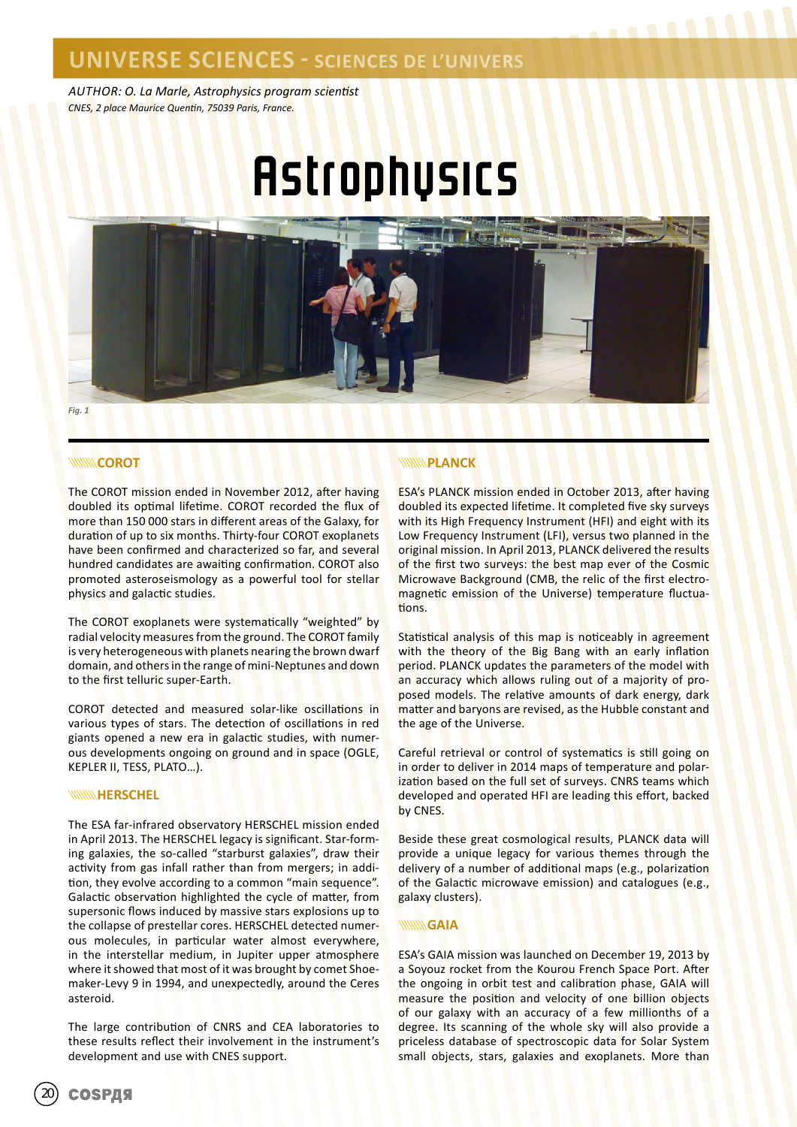*AUTHOR: O. La Marle, Astrophysics program scientist CNES, 2 place Maurice Quentin, 75039 Paris, France.*

# **Astrophysics**



#### **WWW.COROT**

The COROT mission ended in November 2012, after having doubled its optimal lifetime. COROT recorded the flux of more than 150 000 stars in different areas of the Galaxy, for duration of up to six months. Thirty-four COROT exoplanets have been confirmed and characterized so far, and several hundred candidates are awaiting confirmation. COROT also promoted asteroseismology as a powerful tool for stellar physics and galactic studies.

The COROT exoplanets were systematically "weighted" by radial velocity measures from the ground. The COROT family is very heterogeneous with planets nearing the brown dwarf domain, and others in the range of mini-Neptunes and down to the first telluric super-Earth.

COROT detected and measured solar-like oscillations in various types of stars. The detection of oscillations in red giants opened a new era in galactic studies, with numerous developments ongoing on ground and in space (OGLE, KEPLER II, TESS, PLATO…).

#### **WWW.HERSCHEL**

The ESA far-infrared observatory HERSCHEL mission ended in April 2013. The HERSCHEL legacy is significant. Star-forming galaxies, the so-called "starburst galaxies", draw their activity from gas infall rather than from mergers; in addition, they evolve according to a common "main sequence". Galactic observation highlighted the cycle of matter, from supersonic flows induced by massive stars explosions up to the collapse of prestellar cores. HERSCHEL detected numerous molecules, in particular water almost everywhere, in the interstellar medium, in Jupiter upper atmosphere where it showed that most of it was brought by comet Shoemaker-Levy 9 in 1994, and unexpectedly, around the Ceres asteroid.

The large contribution of CNRS and CEA laboratories to these results reflect their involvement in the instrument's development and use with CNES support.

#### **PLANCK**

ESA's PLANCK mission ended in October 2013, after having doubled its expected lifetime. It completed five sky surveys with its High Frequency Instrument (HFI) and eight with its Low Frequency Instrument (LFI), versus two planned in the original mission. In April 2013, PLANCK delivered the results of the first two surveys: the best map ever of the Cosmic Microwave Background (CMB, the relic of the first electromagnetic emission of the Universe) temperature fluctuations.

Statistical analysis of this map is noticeably in agreement with the theory of the Big Bang with an early inflation period. PLANCK updates the parameters of the model with an accuracy which allows ruling out of a majority of proposed models. The relative amounts of dark energy, dark matter and baryons are revised, as the Hubble constant and the age of the Universe.

Careful retrieval or control of systematics is still going on in order to deliver in 2014 maps of temperature and polarization based on the full set of surveys. CNRS teams which developed and operated HFI are leading this effort, backed by CNES.

Beside these great cosmological results, PLANCK data will provide a unique legacy for various themes through the delivery of a number of additional maps (e.g., polarization of the Galactic microwave emission) and catalogues (e.g., galaxy clusters).

#### **WWWGAIA**

ESA's GAIA mission was launched on December 19, 2013 by a Soyouz rocket from the Kourou French Space Port. After the ongoing in orbit test and calibration phase, GAIA will measure the position and velocity of one billion objects of our galaxy with an accuracy of a few millionths of a degree. Its scanning of the whole sky will also provide a priceless database of spectroscopic data for Solar System small objects, stars, galaxies and exoplanets. More than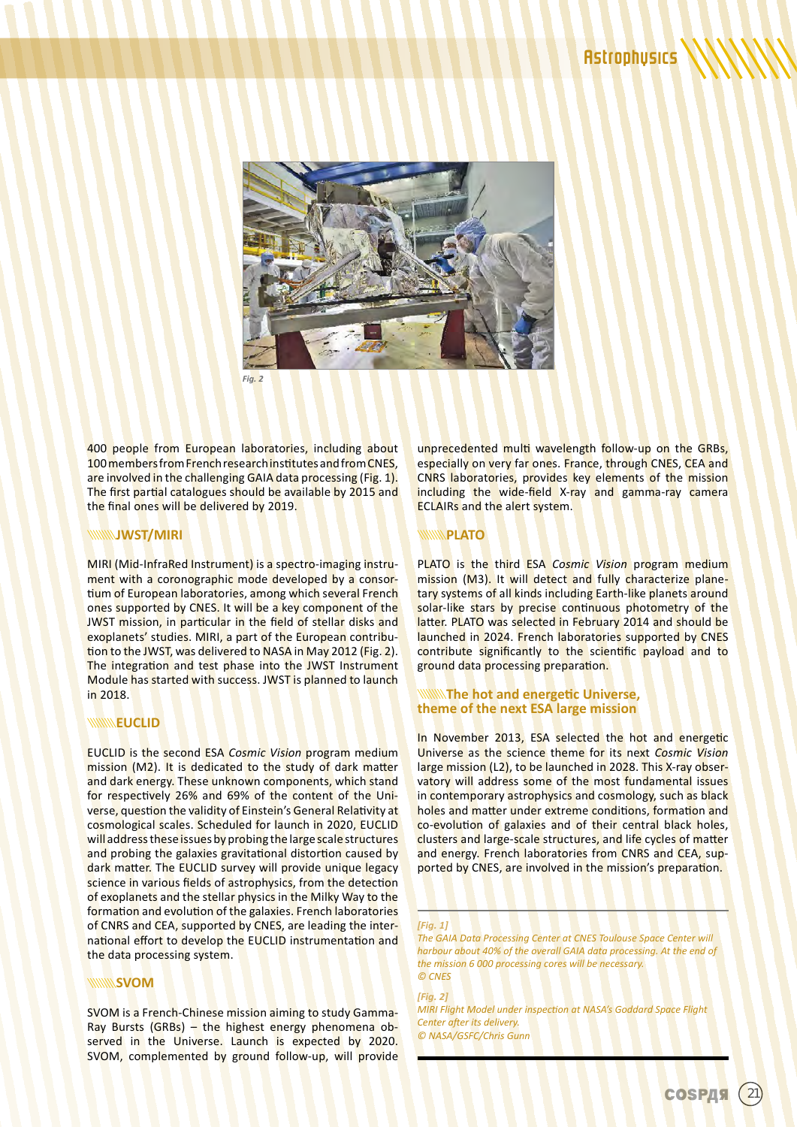

400 people from European laboratories, including about 100 members from French research institutes and from CNES, are involved in the challenging GAIA data processing (Fig. 1). The first partial catalogues should be available by 2015 and the final ones will be delivered by 2019.

#### **JWST/MIRI**

MIRI (Mid-InfraRed Instrument) is a spectro-imaging instrument with a coronographic mode developed by a consortium of European laboratories, among which several French ones supported by CNES. It will be a key component of the JWST mission, in particular in the field of stellar disks and exoplanets' studies. MIRI, a part of the European contribution to the JWST, was delivered to NASA in May 2012 (Fig. 2). The integration and test phase into the JWST Instrument Module has started with success. JWST is planned to launch in 2018.

#### **EUCLID**

EUCLID is the second ESA *Cosmic Vision* program medium mission (M2). It is dedicated to the study of dark matter and dark energy. These unknown components, which stand for respectively 26% and 69% of the content of the Universe, question the validity of Einstein's General Relativity at cosmological scales. Scheduled for launch in 2020, EUCLID will address these issues by probing the large scale structures and probing the galaxies gravitational distortion caused by dark matter. The EUCLID survey will provide unique legacy science in various fields of astrophysics, from the detection of exoplanets and the stellar physics in the Milky Way to the formation and evolution of the galaxies. French laboratories of CNRS and CEA, supported by CNES, are leading the international effort to develop the EUCLID instrumentation and the data processing system.

#### **WWW.SVOM**

SVOM is a French-Chinese mission aiming to study Gamma-Ray Bursts (GRBs) – the highest energy phenomena observed in the Universe. Launch is expected by 2020. SVOM, complemented by ground follow-up, will provide unprecedented multi wavelength follow-up on the GRBs, especially on very far ones. France, through CNES, CEA and CNRS laboratories, provides key elements of the mission including the wide-field X-ray and gamma-ray camera ECLAIRs and the alert system.

#### **PLATO**

PLATO is the third ESA *Cosmic Vision* program medium mission (M3). It will detect and fully characterize planetary systems of all kinds including Earth-like planets around solar-like stars by precise continuous photometry of the latter. PLATO was selected in February 2014 and should be launched in 2024. French laboratories supported by CNES contribute significantly to the scientific payload and to ground data processing preparation.

#### **The hot and energetic Universe, theme of the next ESA large mission**

In November 2013, ESA selected the hot and energetic Universe as the science theme for its next *Cosmic Vision* large mission (L2), to be launched in 2028. This X-ray observatory will address some of the most fundamental issues in contemporary astrophysics and cosmology, such as black holes and matter under extreme conditions, formation and co-evolution of galaxies and of their central black holes, clusters and large-scale structures, and life cycles of matter and energy. French laboratories from CNRS and CEA, supported by CNES, are involved in the mission's preparation.

#### *[Fig. 1]*

*The GAIA Data Processing Center at CNES Toulouse Space Center will harbour about 40% of the overall GAIA data processing. At the end of the mission 6 000 processing cores will be necessary. © CNES*

#### *[Fig. 2]*

*MIRI Flight Model under inspection at NASA's Goddard Space Flight Center after its delivery. © NASA/GSFC/Chris Gunn*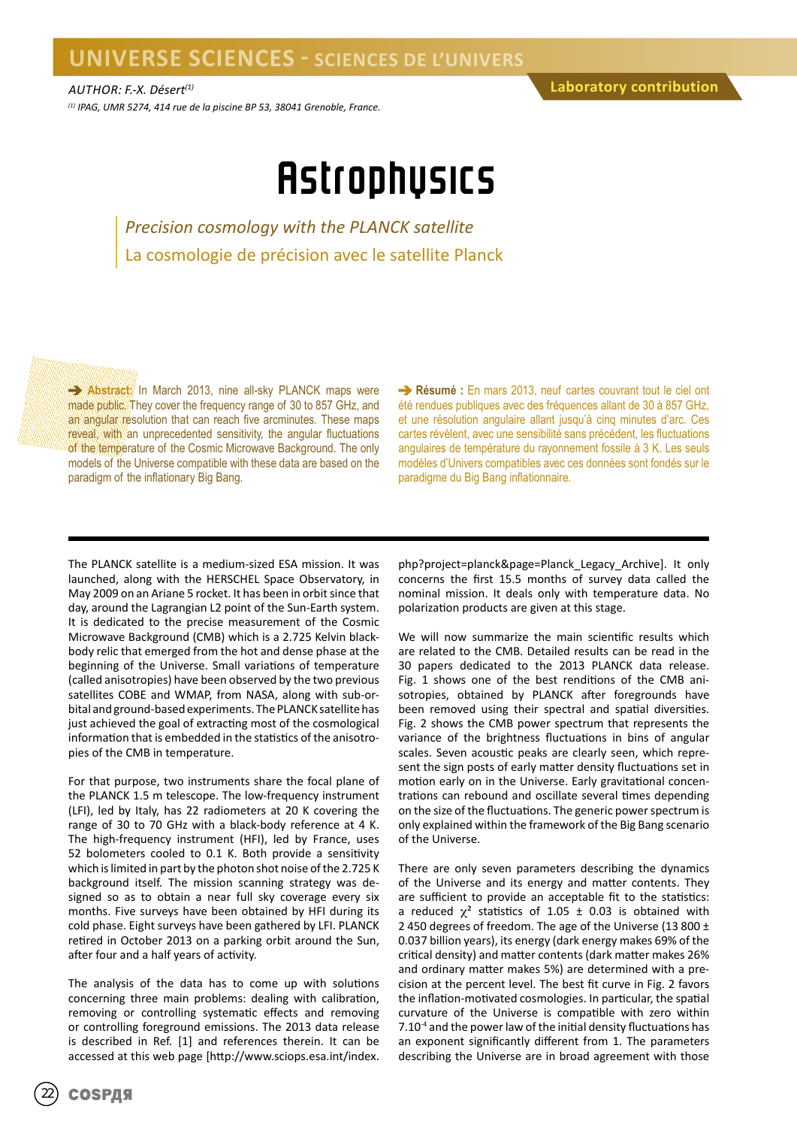### **UNIVERSE SCIENCES - SCIENCES DE L'UNIVERS**

*(1) IPAG, UMR 5274, 414 rue de la piscine BP 53, 38041 Grenoble, France.*

## **Astrophysics**

*Precision cosmology with the PLANCK satellite* La cosmologie de précision avec le satellite Planck

**Abstract:** In March 2013, nine all-sky PLANCK maps were made public. They cover the frequency range of 30 to 857 GHz, and an angular resolution that can reach five arcminutes. These maps reveal, with an unprecedented sensitivity, the angular fluctuations of the temperature of the Cosmic Microwave Background. The only models of the Universe compatible with these data are based on the paradigm of the inflationary Big Bang.

**Résumé :** En mars 2013, neuf cartes couvrant tout le ciel ont été rendues publiques avec des fréquences allant de 30 à 857 GHz, et une résolution angulaire allant jusqu'à cinq minutes d'arc. Ces cartes révèlent, avec une sensibilité sans précédent, les fluctuations angulaires de température du rayonnement fossile à 3 K. Les seuls modèles d'Univers compatibles avec ces données sont fondés sur le paradigme du Big Bang inflationnaire.

The PLANCK satellite is a medium-sized ESA mission. It was launched, along with the HERSCHEL Space Observatory, in May 2009 on an Ariane 5 rocket. It has been in orbit since that day, around the Lagrangian L2 point of the Sun-Earth system. It is dedicated to the precise measurement of the Cosmic Microwave Background (CMB) which is a 2.725 Kelvin blackbody relic that emerged from the hot and dense phase at the beginning of the Universe. Small variations of temperature (called anisotropies) have been observed by the two previous satellites COBE and WMAP, from NASA, along with sub-orbital and ground-based experiments. The PLANCK satellite has just achieved the goal of extracting most of the cosmological information that is embedded in the statistics of the anisotropies of the CMB in temperature.

For that purpose, two instruments share the focal plane of the PLANCK 1.5 m telescope. The low-frequency instrument (LFI), led by Italy, has 22 radiometers at 20 K covering the range of 30 to 70 GHz with a black-body reference at 4 K. The high-frequency instrument (HFI), led by France, uses 52 bolometers cooled to 0.1 K. Both provide a sensitivity which is limited in part by the photon shot noise of the 2.725 K background itself. The mission scanning strategy was designed so as to obtain a near full sky coverage every six months. Five surveys have been obtained by HFI during its cold phase. Eight surveys have been gathered by LFI. PLANCK retired in October 2013 on a parking orbit around the Sun, after four and a half years of activity.

The analysis of the data has to come up with solutions concerning three main problems: dealing with calibration, removing or controlling systematic effects and removing or controlling foreground emissions. The 2013 data release is described in Ref. [1] and references therein. It can be accessed at this web page [http://www.sciops.esa.int/index.

php?project=planck&page=Planck\_Legacy\_Archive]. It only concerns the first 15.5 months of survey data called the nominal mission. It deals only with temperature data. No polarization products are given at this stage.

We will now summarize the main scientific results which are related to the CMB. Detailed results can be read in the 30 papers dedicated to the 2013 PLANCK data release. Fig. 1 shows one of the best renditions of the CMB anisotropies, obtained by PLANCK after foregrounds have been removed using their spectral and spatial diversities. Fig. 2 shows the CMB power spectrum that represents the variance of the brightness fluctuations in bins of angular scales. Seven acoustic peaks are clearly seen, which represent the sign posts of early matter density fluctuations set in motion early on in the Universe. Early gravitational concentrations can rebound and oscillate several times depending on the size of the fluctuations. The generic power spectrum is only explained within the framework of the Big Bang scenario of the Universe.

There are only seven parameters describing the dynamics of the Universe and its energy and matter contents. They are sufficient to provide an acceptable fit to the statistics: a reduced  $\chi^2$  statistics of 1.05  $\pm$  0.03 is obtained with 2 450 degrees of freedom. The age of the Universe (13 800 ± 0.037 billion years), its energy (dark energy makes 69% of the critical density) and matter contents (dark matter makes 26% and ordinary matter makes 5%) are determined with a precision at the percent level. The best fit curve in Fig. 2 favors the inflation-motivated cosmologies. In particular, the spatial curvature of the Universe is compatible with zero within 7.10-4 and the power law of the initial density fluctuations has an exponent significantly different from 1. The parameters describing the Universe are in broad agreement with those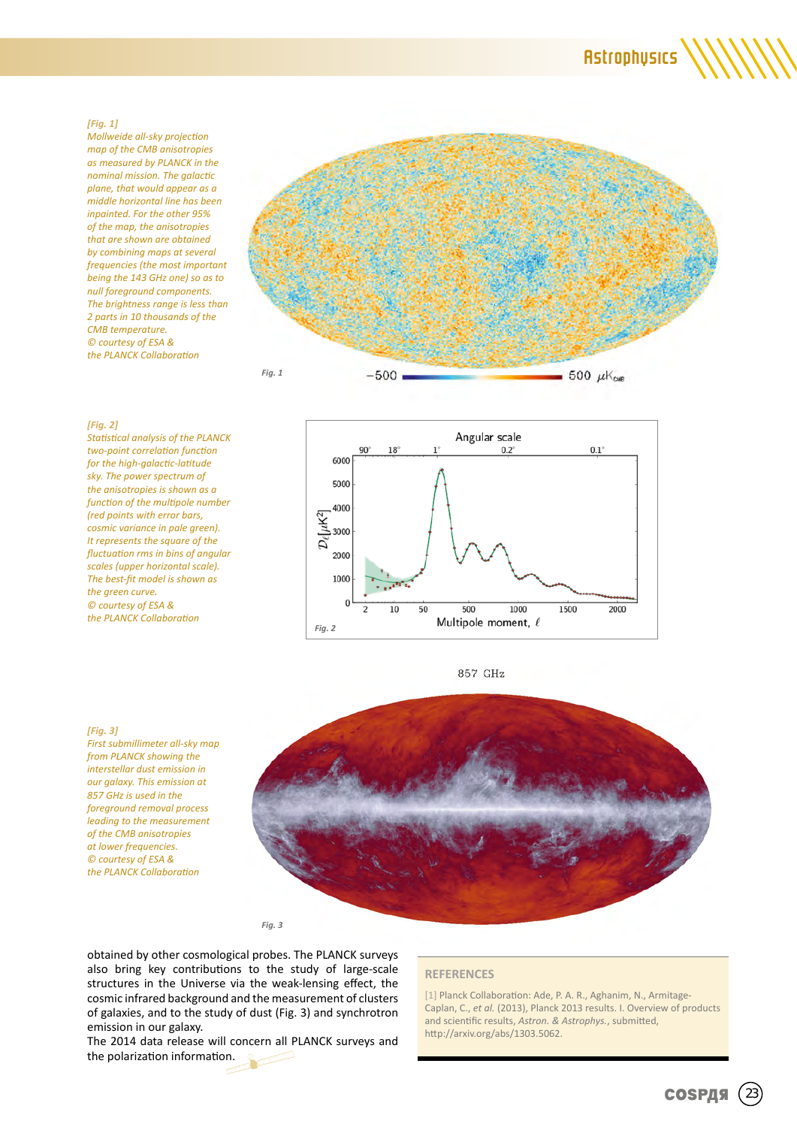### **Astrophysics**

#### *[Fig. 1]*

*Mollweide all-sky projection map of the CMB anisotropies as measured by PLANCK in the nominal mission. The galactic plane, that would appear as a middle horizontal line has been inpainted. For the other 95% of the map, the anisotropies that are shown are obtained by combining maps at several frequencies (the most important being the 143 GHz one) so as to null foreground components. The brightness range is less than 2 parts in 10 thousands of the CMB temperature. © courtesy of ESA & the PLANCK Collaboration*



#### *[Fig. 2]*

*Statistical analysis of the PLANCK two-point correlation function for the high-galactic-latitude sky. The power spectrum of the anisotropies is shown as a function of the multipole number (red points with error bars, cosmic variance in pale green). It represents the square of the fluctuation rms in bins of angular scales (upper horizontal scale). The best-fit model is shown as the green curve. © courtesy of ESA & the PLANCK Collaboration*



857 GHz

#### *[Fig. 3]*

*First submillimeter all-sky map from PLANCK showing the interstellar dust emission in our galaxy. This emission at 857 GHz is used in the foreground removal process leading to the measurement of the CMB anisotropies at lower frequencies. © courtesy of ESA & the PLANCK Collaboration*



*Fig. 3*

obtained by other cosmological probes. The PLANCK surveys also bring key contributions to the study of large-scale structures in the Universe via the weak-lensing effect, the cosmic infrared background and the measurement of clusters of galaxies, and to the study of dust (Fig. 3) and synchrotron emission in our galaxy.

The 2014 data release will concern all PLANCK surveys and the polarization information.

#### **REFERENCES**

[1] Planck Collaboration: Ade, P. A. R., Aghanim, N., Armitage-Caplan, C., *et al.* (2013), Planck 2013 results. I. Overview of products and scientific results, *Astron. & Astrophys.*, submitted, http://arxiv.org/abs/1303.5062.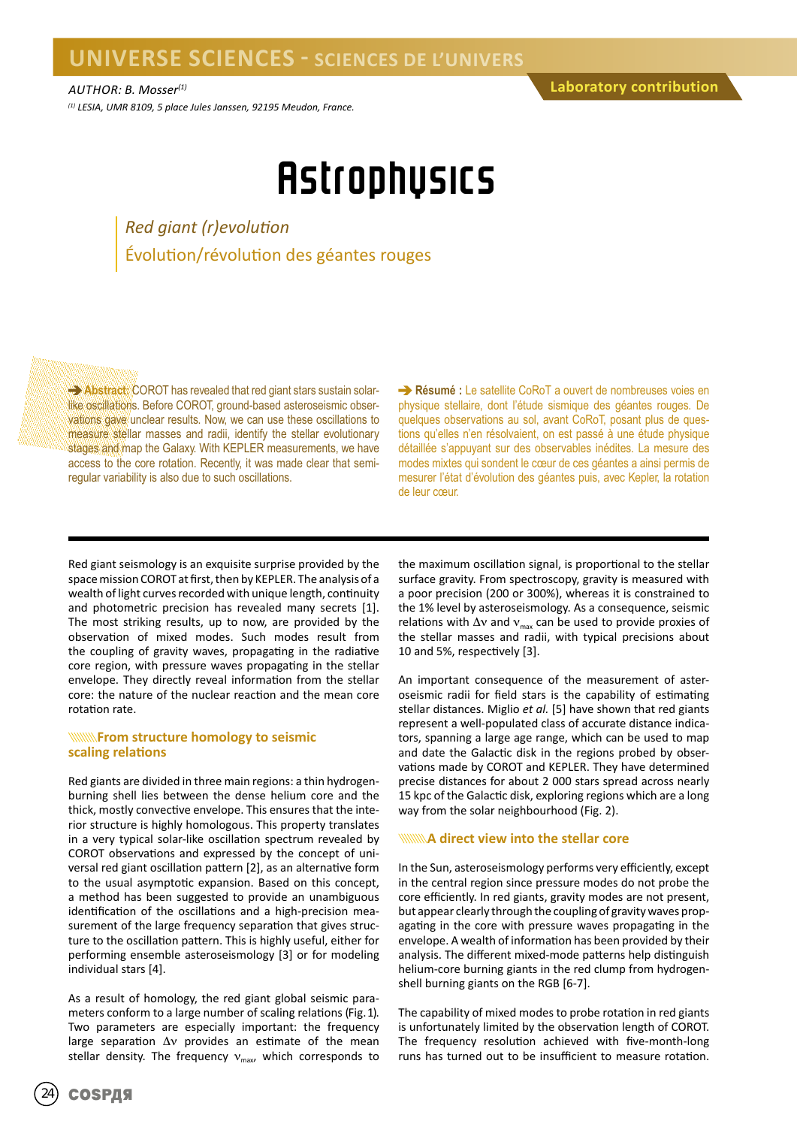*(1) LESIA, UMR 8109, 5 place Jules Janssen, 92195 Meudon, France.*

## **Astrophysics**

*Red giant (r)evolution* Évolution/révolution des géantes rouges

**Abstract:** COROT has revealed that red giant stars sustain solarlike oscillations. Before COROT, ground-based asteroseismic observations gave unclear results. Now, we can use these oscillations to measure stellar masses and radii, identify the stellar evolutionary stages and map the Galaxy. With KEPLER measurements, we have access to the core rotation. Recently, it was made clear that semiregular variability is also due to such oscillations.

**Résumé :** Le satellite CoRoT a ouvert de nombreuses voies en physique stellaire, dont l'étude sismique des géantes rouges. De quelques observations au sol, avant CoRoT, posant plus de questions qu'elles n'en résolvaient, on est passé à une étude physique détaillée s'appuyant sur des observables inédites. La mesure des modes mixtes qui sondent le cœur de ces géantes a ainsi permis de mesurer l'état d'évolution des géantes puis, avec Kepler, la rotation de leur cœur.

Red giant seismology is an exquisite surprise provided by the space mission COROT at first, then by KEPLER. The analysis of a wealth of light curves recorded with unique length, continuity and photometric precision has revealed many secrets [1]. The most striking results, up to now, are provided by the observation of mixed modes. Such modes result from the coupling of gravity waves, propagating in the radiative core region, with pressure waves propagating in the stellar envelope. They directly reveal information from the stellar core: the nature of the nuclear reaction and the mean core rotation rate.

#### *<b>KKWANK* From structure homology to seismic **scaling relations**

Red giants are divided in three main regions: a thin hydrogenburning shell lies between the dense helium core and the thick, mostly convective envelope. This ensures that the interior structure is highly homologous. This property translates in a very typical solar-like oscillation spectrum revealed by COROT observations and expressed by the concept of universal red giant oscillation pattern [2], as an alternative form to the usual asymptotic expansion. Based on this concept, a method has been suggested to provide an unambiguous identification of the oscillations and a high-precision measurement of the large frequency separation that gives structure to the oscillation pattern. This is highly useful, either for performing ensemble asteroseismology [3] or for modeling individual stars [4].

As a result of homology, the red giant global seismic parameters conform to a large number of scaling relations (Fig. 1). Two parameters are especially important: the frequency large separation Δν provides an estimate of the mean stellar density. The frequency  $v_{\text{max}}$ , which corresponds to the maximum oscillation signal, is proportional to the stellar surface gravity. From spectroscopy, gravity is measured with a poor precision (200 or 300%), whereas it is constrained to the 1% level by asteroseismology. As a consequence, seismic relations with  $\Delta v$  and  $v_{\text{max}}$  can be used to provide proxies of the stellar masses and radii, with typical precisions about 10 and 5%, respectively [3].

An important consequence of the measurement of asteroseismic radii for field stars is the capability of estimating stellar distances. Miglio *et al.* [5] have shown that red giants represent a well-populated class of accurate distance indicators, spanning a large age range, which can be used to map and date the Galactic disk in the regions probed by observations made by COROT and KEPLER. They have determined precise distances for about 2 000 stars spread across nearly 15 kpc of the Galactic disk, exploring regions which are a long way from the solar neighbourhood (Fig. 2).

#### **A direct view into the stellar core**

In the Sun, asteroseismology performs very efficiently, except in the central region since pressure modes do not probe the core efficiently. In red giants, gravity modes are not present, but appear clearly through the coupling of gravity waves propagating in the core with pressure waves propagating in the envelope. A wealth of information has been provided by their analysis. The different mixed-mode patterns help distinguish helium-core burning giants in the red clump from hydrogenshell burning giants on the RGB [6-7].

The capability of mixed modes to probe rotation in red giants is unfortunately limited by the observation length of COROT. The frequency resolution achieved with five-month-long runs has turned out to be insufficient to measure rotation.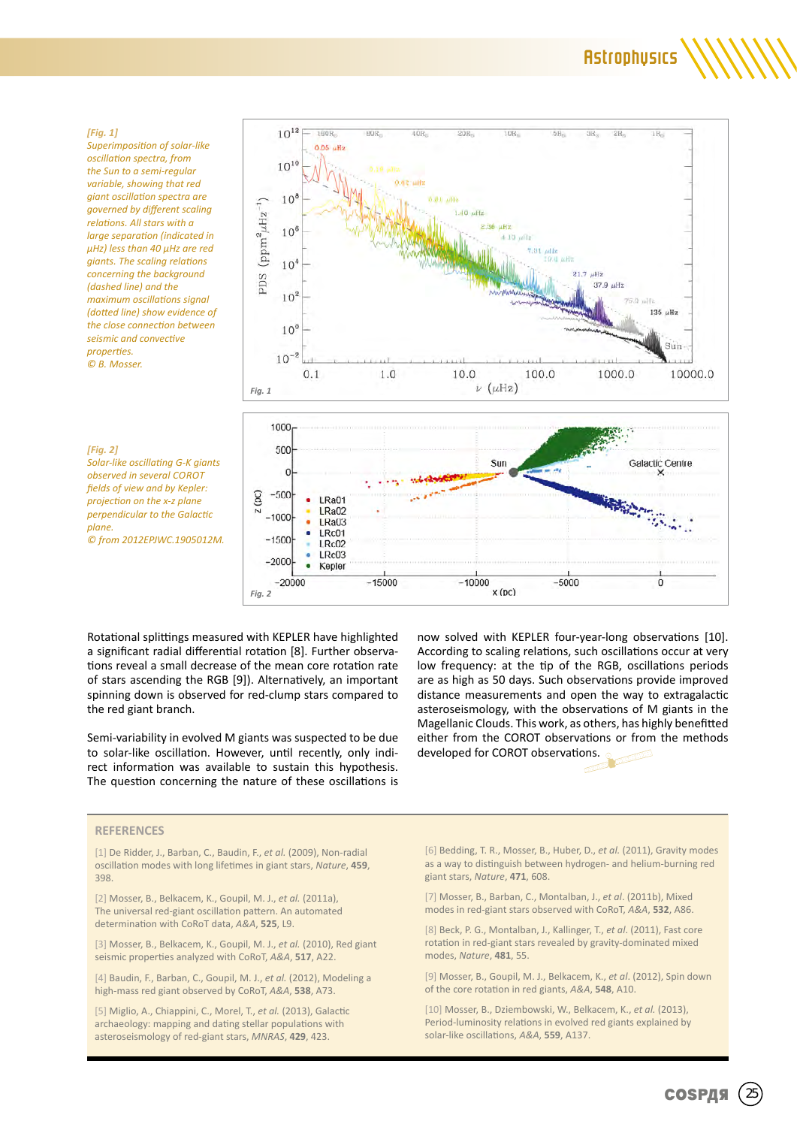#### *[Fig. 1]*

*Superimposition of solar-like oscillation spectra, from the Sun to a semi-regular variable, showing that red giant oscillation spectra are governed by different scaling relations. All stars with a large separation (indicated in µHz) less than 40 µHz are red giants. The scaling relations concerning the background (dashed line) and the maximum oscillations signal (dotted line) show evidence of the close connection between seismic and convective properties. © B. Mosser.*

*[Fig. 2] Solar-like oscillating G-K giants observed in several COROT fields of view and by Kepler: projection on the x-z plane perpendicular to the Galactic plane. © from 2012EPJWC.1905012M.*





Rotational splittings measured with KEPLER have highlighted a significant radial differential rotation [8]. Further observations reveal a small decrease of the mean core rotation rate of stars ascending the RGB [9]). Alternatively, an important spinning down is observed for red-clump stars compared to the red giant branch.

Semi-variability in evolved M giants was suspected to be due to solar-like oscillation. However, until recently, only indirect information was available to sustain this hypothesis. The question concerning the nature of these oscillations is

now solved with KEPLER four-year-long observations [10]. According to scaling relations, such oscillations occur at very low frequency: at the tip of the RGB, oscillations periods are as high as 50 days. Such observations provide improved distance measurements and open the way to extragalactic asteroseismology, with the observations of M giants in the Magellanic Clouds. This work, as others, has highly benefitted either from the COROT observations or from the methods developed for COROT observations.

#### **REFERENCES**

[1] De Ridder, J., Barban, C., Baudin, F., *et al.* (2009), Non-radial oscillation modes with long lifetimes in giant stars, *Nature*, **459**, 398.

[2] Mosser, B., Belkacem, K., Goupil, M. J., *et al.* (2011a), The universal red-giant oscillation pattern. An automated determination with CoRoT data, *A&A*, **525**, L9.

[3] Mosser, B., Belkacem, K., Goupil, M. J., *et al.* (2010), Red giant seismic properties analyzed with CoRoT, *A&A*, **517**, A22.

[4] Baudin, F., Barban, C., Goupil, M. J., *et al.* (2012), Modeling a high-mass red giant observed by CoRoT, *A&A*, **538**, A73.

[5] Miglio, A., Chiappini, C., Morel, T., *et al.* (2013), Galactic archaeology: mapping and dating stellar populations with asteroseismology of red-giant stars, *MNRAS*, **429**, 423.

[6] Bedding, T. R., Mosser, B., Huber, D., *et al.* (2011), Gravity modes as a way to distinguish between hydrogen- and helium-burning red giant stars, *Nature*, **471**, 608.

[7] Mosser, B., Barban, C., Montalban, J., *et al*. (2011b), Mixed modes in red-giant stars observed with CoRoT, *A&A*, **532**, A86.

[8] Beck, P. G., Montalban, J., Kallinger, T., *et al*. (2011), Fast core rotation in red-giant stars revealed by gravity-dominated mixed modes, *Nature*, **481**, 55.

[9] Mosser, B., Goupil, M. J., Belkacem, K., *et al*. (2012), Spin down of the core rotation in red giants, *A&A*, **548**, A10.

[10] Mosser, B., Dziembowski, W., Belkacem, K., *et al.* (2013), Period-luminosity relations in evolved red giants explained by solar-like oscillations, *A&A*, **559**, A137.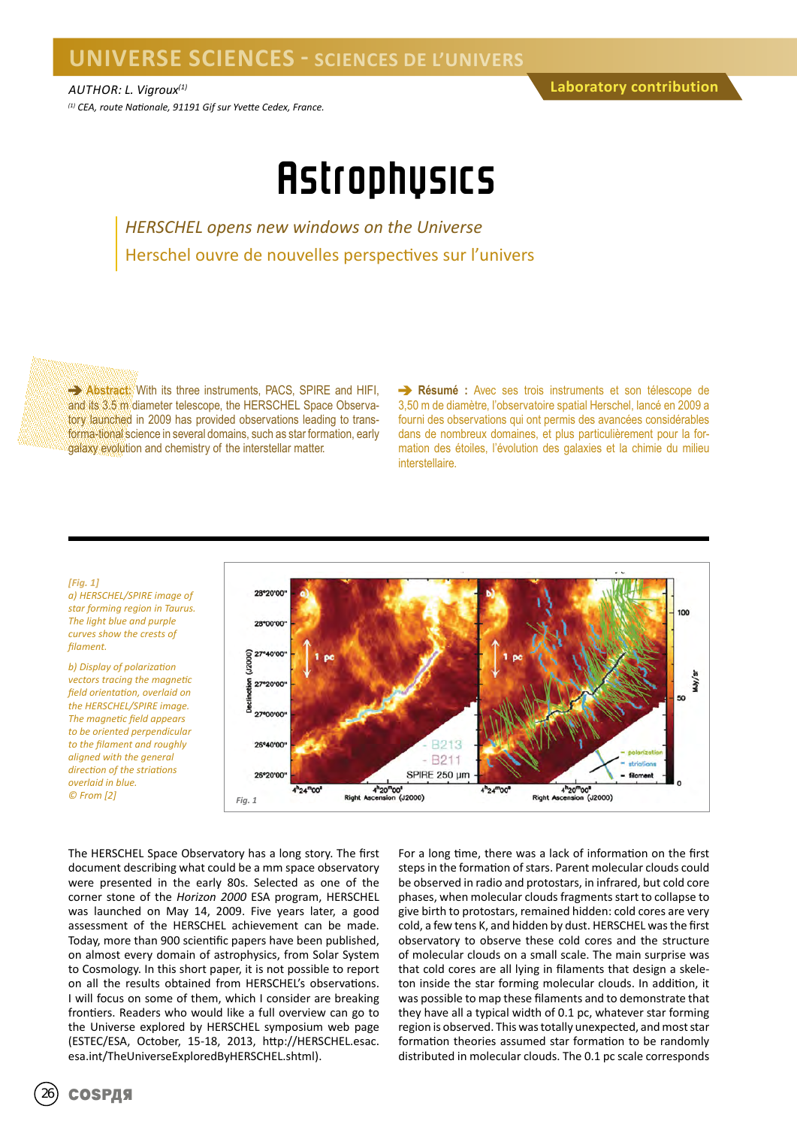## **UNIVERSE SCIENCES - SCIENCES DE L'UNIVERS**

## **Astrophysics**

*HERSCHEL opens new windows on the Universe* Herschel ouvre de nouvelles perspectives sur l'univers

**Abstract:** With its three instruments, PACS, SPIRE and HIFI, and its 3.5 m diameter telescope, the HERSCHEL Space Observatory launched in 2009 has provided observations leading to transforma-tional science in several domains, such as star formation, early galaxy evolution and chemistry of the interstellar matter.

**Résumé :** Avec ses trois instruments et son télescope de 3,50 m de diamètre, l'observatoire spatial Herschel, lancé en 2009 a fourni des observations qui ont permis des avancées considérables dans de nombreux domaines, et plus particulièrement pour la formation des étoiles, l'évolution des galaxies et la chimie du milieu interstellaire.



*a) HERSCHEL/SPIRE image of star forming region in Taurus. The light blue and purple curves show the crests of filament.*

*b) Display of polarization vectors tracing the magnetic field orientation, overlaid on the HERSCHEL/SPIRE image. The magnetic field appears to be oriented perpendicular to the filament and roughly aligned with the general direction of the striations overlaid in blue. © From [2] Fig. 1*



The HERSCHEL Space Observatory has a long story. The first document describing what could be a mm space observatory were presented in the early 80s. Selected as one of the corner stone of the *Horizon 2000* ESA program, HERSCHEL was launched on May 14, 2009. Five years later, a good assessment of the HERSCHEL achievement can be made. Today, more than 900 scientific papers have been published, on almost every domain of astrophysics, from Solar System to Cosmology. In this short paper, it is not possible to report on all the results obtained from HERSCHEL's observations. I will focus on some of them, which I consider are breaking frontiers. Readers who would like a full overview can go to the Universe explored by HERSCHEL symposium web page (ESTEC/ESA, October, 15-18, 2013, http://HERSCHEL.esac. esa.int/TheUniverseExploredByHERSCHEL.shtml).

For a long time, there was a lack of information on the first steps in the formation of stars. Parent molecular clouds could be observed in radio and protostars, in infrared, but cold core phases, when molecular clouds fragments start to collapse to give birth to protostars, remained hidden: cold cores are very cold, a few tens K, and hidden by dust. HERSCHEL was the first observatory to observe these cold cores and the structure of molecular clouds on a small scale. The main surprise was that cold cores are all lying in filaments that design a skeleton inside the star forming molecular clouds. In addition, it was possible to map these filaments and to demonstrate that they have all a typical width of 0.1 pc, whatever star forming region is observed. This was totally unexpected, and most star formation theories assumed star formation to be randomly distributed in molecular clouds. The 0.1 pc scale corresponds